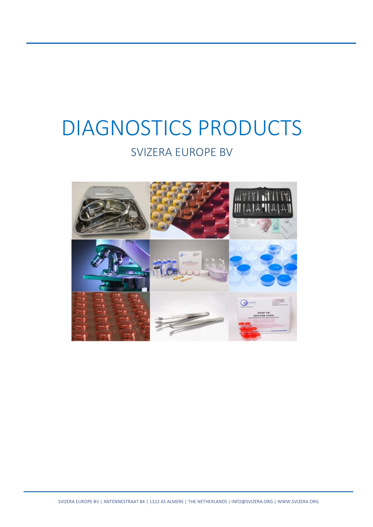# DIAGNOSTICS PRODUCTS

## SVIZERA EUROPE BV

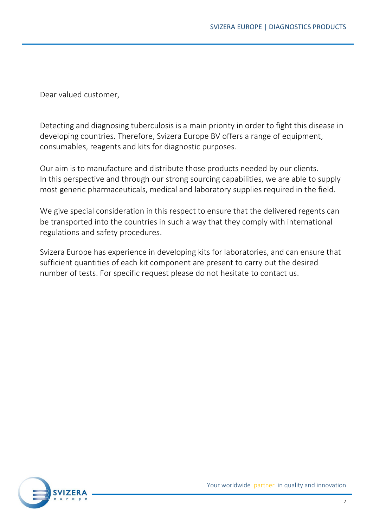Dear valued customer,

Detecting and diagnosing tuberculosis is a main priority in order to fight this disease in developing countries. Therefore, Svizera Europe BV offers a range of equipment, consumables, reagents and kits for diagnostic purposes.

Our aim is to manufacture and distribute those products needed by our clients. In this perspective and through our strong sourcing capabilities, we are able to supply most generic pharmaceuticals, medical and laboratory supplies required in the field.

We give special consideration in this respect to ensure that the delivered regents can be transported into the countries in such a way that they comply with international regulations and safety procedures.

Svizera Europe has experience in developing kits for laboratories, and can ensure that sufficient quantities of each kit component are present to carry out the desired number of tests. For specific request please do not hesitate to contact us.

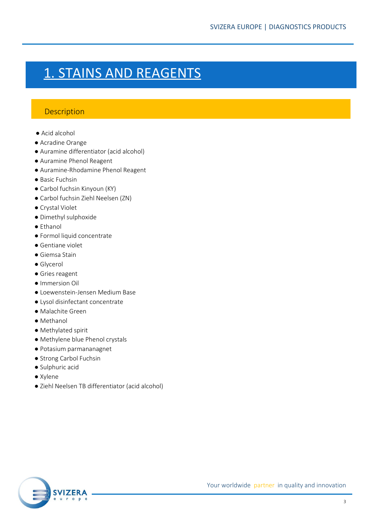# 1. STAINS AND REAGENTS

#### **Description**

- Acid alcohol
- Acradine Orange
- Auramine differentiator (acid alcohol)
- Auramine Phenol Reagent
- Auramine-Rhodamine Phenol Reagent
- Basic Fuchsin
- Carbol fuchsin Kinyoun (KY)
- Carbol fuchsin Ziehl Neelsen (ZN)
- Crystal Violet
- Dimethyl sulphoxide
- Ethanol
- Formol liquid concentrate
- Gentiane violet
- Giemsa Stain
- Glycerol
- Gries reagent
- Immersion Oil
- Loewenstein-Jensen Medium Base
- Lysol disinfectant concentrate
- Malachite Green
- Methanol
- Methylated spirit
- Methylene blue Phenol crystals
- Potasium parmananagnet
- Strong Carbol Fuchsin
- Sulphuric acid
- Xylene
- Ziehl Neelsen TB differentiator (acid alcohol)

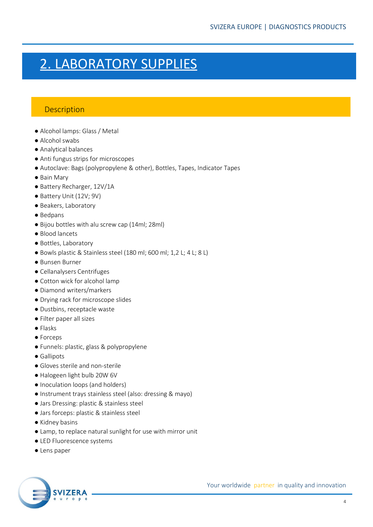# 2. LABORATORY SUPPLIES

#### **Description**

- Alcohol lamps: Glass / Metal
- Alcohol swabs
- Analytical balances
- Anti fungus strips for microscopes
- Autoclave: Bags (polypropylene & other), Bottles, Tapes, Indicator Tapes
- Bain Mary
- Battery Recharger, 12V/1A
- Battery Unit (12V; 9V)
- Beakers, Laboratory
- Bedpans
- Bijou bottles with alu screw cap (14ml; 28ml)
- Blood lancets
- Bottles, Laboratory
- Bowls plastic & Stainless steel (180 ml; 600 ml; 1,2 L; 4 L; 8 L)
- Bunsen Burner
- Cellanalysers Centrifuges
- Cotton wick for alcohol lamp
- Diamond writers/markers
- Drying rack for microscope slides
- Dustbins, receptacle waste
- Filter paper all sizes
- Flasks
- Forceps
- Funnels: plastic, glass & polypropylene
- Gallipots
- Gloves sterile and non-sterile
- Halogeen light bulb 20W 6V
- Inoculation loops (and holders)
- Instrument trays stainless steel (also: dressing & mayo)
- Jars Dressing: plastic & stainless steel
- Jars forceps: plastic & stainless steel
- Kidney basins
- Lamp, to replace natural sunlight for use with mirror unit
- LED Fluorescence systems
- Lens paper

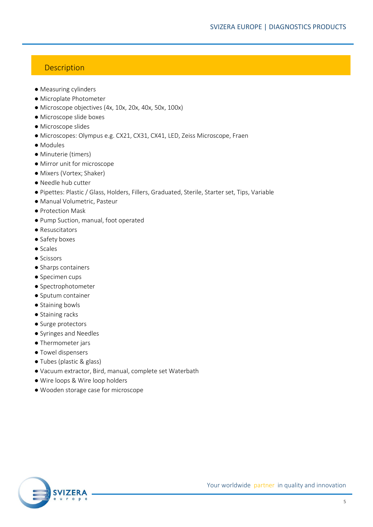#### **Description**

- Measuring cylinders
- Microplate Photometer
- Microscope objectives (4x, 10x, 20x, 40x, 50x, 100x)
- Microscope slide boxes
- Microscope slides
- Microscopes: Olympus e.g. CX21, CX31, CX41, LED, Zeiss Microscope, Fraen
- Modules
- Minuterie (timers)
- Mirror unit for microscope
- Mixers (Vortex; Shaker)
- Needle hub cutter
- Pipettes: Plastic / Glass, Holders, Fillers, Graduated, Sterile, Starter set, Tips, Variable
- Manual Volumetric, Pasteur
- Protection Mask
- Pump Suction, manual, foot operated
- Resuscitators
- Safety boxes
- Scales
- Scissors
- Sharps containers
- Specimen cups
- Spectrophotometer
- Sputum container
- Staining bowls
- Staining racks
- Surge protectors
- Syringes and Needles
- Thermometer jars
- Towel dispensers
- Tubes (plastic & glass)
- Vacuum extractor, Bird, manual, complete set Waterbath
- Wire loops & Wire loop holders
- Wooden storage case for microscope

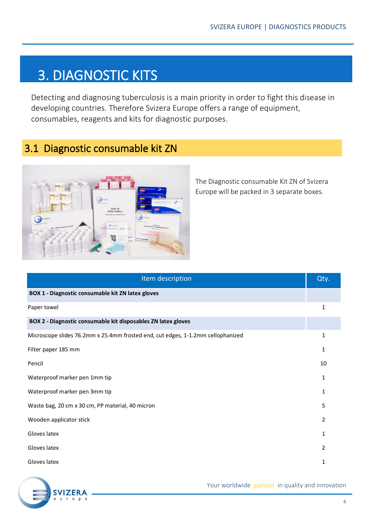# 3. DIAGNOSTIC KITS

Detecting and diagnosing tuberculosis is a main priority in order to fight this disease in developing countries. Therefore Svizera Europe offers a range of equipment, consumables, reagents and kits for diagnostic purposes.

### 3.1 Diagnostic consumable kit ZN



The Diagnostic consumable Kit ZN of Svizera Europe will be packed in 3 separate boxes.

| Item description                                                                | Qty. |
|---------------------------------------------------------------------------------|------|
| BOX 1 - Diagnostic consumable kit ZN latex gloves                               |      |
| Paper towel                                                                     | 1    |
| BOX 2 - Diagnostic consumable kit disposables ZN latex gloves                   |      |
| Microscope slides 76.2mm x 25.4mm frosted end, cut edges, 1-1.2mm cellophanized | 1    |
| Filter paper 185 mm                                                             | 1    |
| Pencil                                                                          | 10   |
| Waterproof marker pen 1mm tip                                                   | 1    |
| Waterproof marker pen 3mm tip                                                   | 1    |
| Waste bag, 20 cm x 30 cm, PP material, 40 micron                                | 5    |
| Wooden applicator stick                                                         | 2    |
| Gloves latex                                                                    | 1    |
| Gloves latex                                                                    | 2    |
| Gloves latex                                                                    | 1    |

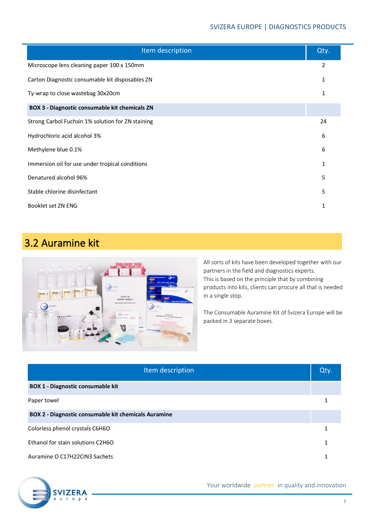| Item description                                      | Qty. |
|-------------------------------------------------------|------|
| Microscope lens cleaning paper 100 x 150mm            | 2    |
| Carton Diagnostic consumable kit disposables ZN       | 1    |
| Ty-wrap to close wastebag 30x20cm                     | 1    |
| <b>BOX 3 - Diagnostic consumable kit chemicals ZN</b> |      |
| Strong Carbol Fuchsin 1% solution for ZN staining     | 24   |
| Hydrochloric acid alcohol 3%                          | 6    |
| Methylene blue 0.1%                                   | 6    |
| Immersion oil for use under tropical conditions       | 1    |
| Denatured alcohol 96%                                 | 5    |
| Stable chlorine disinfectant                          | 5    |
| Booklet set ZN ENG                                    | 1    |

## 3.2 Auramine kit



All sorts of kits have been developed together with our partners in the field and diagnostics experts. This is based on the principle that by combining products into kits, clients can procure all that is needed in a single stop.

The Consumable Auramine Kit of Svizera Europe will be packed in 3 separate boxes.

| Item description                                     | Qty. |
|------------------------------------------------------|------|
| <b>BOX 1 - Diagnostic consumable kit</b>             |      |
| Paper towel                                          |      |
| BOX 2 - Diagnostic consumable kit chemicals Auramine |      |
| Colorless phenol crystals C6H6O                      |      |
| Ethanol for stain solutions C2H6O                    |      |
| Auramine O C17H22CIN3 Sachets                        |      |

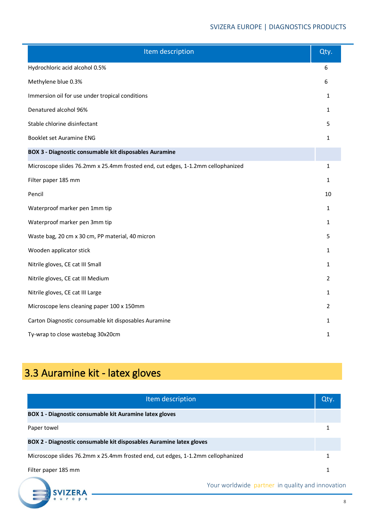| Item description                                                                | Qty.         |
|---------------------------------------------------------------------------------|--------------|
| Hydrochloric acid alcohol 0.5%                                                  | 6            |
| Methylene blue 0.3%                                                             | 6            |
| Immersion oil for use under tropical conditions                                 | 1            |
| Denatured alcohol 96%                                                           | 1            |
| Stable chlorine disinfectant                                                    | 5            |
| Booklet set Auramine ENG                                                        | 1            |
| BOX 3 - Diagnostic consumable kit disposables Auramine                          |              |
| Microscope slides 76.2mm x 25.4mm frosted end, cut edges, 1-1.2mm cellophanized | 1            |
| Filter paper 185 mm                                                             | $\mathbf{1}$ |
| Pencil                                                                          | 10           |
| Waterproof marker pen 1mm tip                                                   | 1            |
| Waterproof marker pen 3mm tip                                                   | 1            |
| Waste bag, 20 cm x 30 cm, PP material, 40 micron                                | 5            |
| Wooden applicator stick                                                         | 1            |
| Nitrile gloves, CE cat III Small                                                | 1            |
| Nitrile gloves, CE cat III Medium                                               | 2            |
| Nitrile gloves, CE cat III Large                                                | 1            |
| Microscope lens cleaning paper 100 x 150mm                                      | 2            |
| Carton Diagnostic consumable kit disposables Auramine                           | 1            |
| Ty-wrap to close wastebag 30x20cm                                               | 1            |

# 3.3 Auramine kit - latex gloves

**SVI** 

| Item description                                                                | Qty. |
|---------------------------------------------------------------------------------|------|
| BOX 1 - Diagnostic consumable kit Auramine latex gloves                         |      |
| Paper towel                                                                     |      |
| BOX 2 - Diagnostic consumable kit disposables Auramine latex gloves             |      |
| Microscope slides 76.2mm x 25.4mm frosted end, cut edges, 1-1.2mm cellophanized |      |
| Filter paper 185 mm                                                             |      |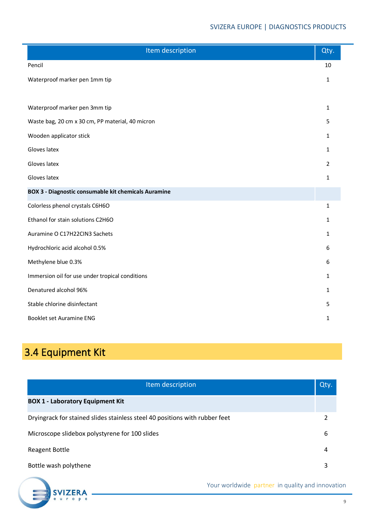| Item description                                            | Qty.           |
|-------------------------------------------------------------|----------------|
| Pencil                                                      | 10             |
| Waterproof marker pen 1mm tip                               | 1              |
|                                                             |                |
| Waterproof marker pen 3mm tip                               | 1              |
| Waste bag, 20 cm x 30 cm, PP material, 40 micron            | 5              |
| Wooden applicator stick                                     | 1              |
| Gloves latex                                                | 1              |
| Gloves latex                                                | $\overline{2}$ |
| Gloves latex                                                | 1              |
| <b>BOX 3 - Diagnostic consumable kit chemicals Auramine</b> |                |
| Colorless phenol crystals C6H6O                             | $\mathbf{1}$   |
| Ethanol for stain solutions C2H6O                           | 1              |
| Auramine O C17H22CIN3 Sachets                               | 1              |
| Hydrochloric acid alcohol 0.5%                              | 6              |
| Methylene blue 0.3%                                         | 6              |
| Immersion oil for use under tropical conditions             | 1              |
| Denatured alcohol 96%                                       | 1              |
| Stable chlorine disinfectant                                | 5              |
| Booklet set Auramine ENG                                    | 1              |

## 3.4 Equipment Kit

**SVIZER** 

P

| Item description                                                            | Qty. |
|-----------------------------------------------------------------------------|------|
| <b>BOX 1 - Laboratory Equipment Kit</b>                                     |      |
| Dryingrack for stained slides stainless steel 40 positions with rubber feet |      |
| Microscope slidebox polystyrene for 100 slides                              | 6    |
| <b>Reagent Bottle</b>                                                       | 4    |
| Bottle wash polythene                                                       | 3    |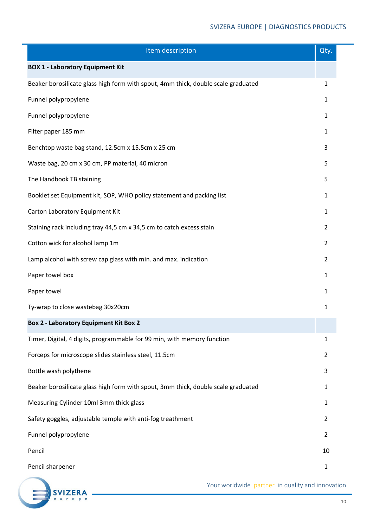#### SVIZERA EUROPE | DIAGNOSTICS PRODUCTS

| Item description                                                                  | Qty.           |
|-----------------------------------------------------------------------------------|----------------|
| <b>BOX 1 - Laboratory Equipment Kit</b>                                           |                |
| Beaker borosilicate glass high form with spout, 4mm thick, double scale graduated | 1              |
| Funnel polypropylene                                                              | 1              |
| Funnel polypropylene                                                              | 1              |
| Filter paper 185 mm                                                               | 1              |
| Benchtop waste bag stand, 12.5cm x 15.5cm x 25 cm                                 | 3              |
| Waste bag, 20 cm x 30 cm, PP material, 40 micron                                  | 5              |
| The Handbook TB staining                                                          | 5              |
| Booklet set Equipment kit, SOP, WHO policy statement and packing list             | 1              |
| Carton Laboratory Equipment Kit                                                   | 1              |
| Staining rack including tray 44,5 cm x 34,5 cm to catch excess stain              | $\overline{2}$ |
| Cotton wick for alcohol lamp 1m                                                   | $\overline{2}$ |
| Lamp alcohol with screw cap glass with min. and max. indication                   | $\overline{2}$ |
| Paper towel box                                                                   | $\mathbf{1}$   |
| Paper towel                                                                       | $\mathbf{1}$   |
| Ty-wrap to close wastebag 30x20cm                                                 | 1              |
| <b>Box 2 - Laboratory Equipment Kit Box 2</b>                                     |                |
| Timer, Digital, 4 digits, programmable for 99 min, with memory function           | 1              |
| Forceps for microscope slides stainless steel, 11.5cm                             | $\overline{2}$ |
| Bottle wash polythene                                                             | 3              |
| Beaker borosilicate glass high form with spout, 3mm thick, double scale graduated | 1              |
| Measuring Cylinder 10ml 3mm thick glass                                           | 1              |
| Safety goggles, adjustable temple with anti-fog treathment                        | $\overline{2}$ |
| Funnel polypropylene                                                              | $\overline{2}$ |
| Pencil                                                                            | 10             |
| Pencil sharpener                                                                  | 1              |